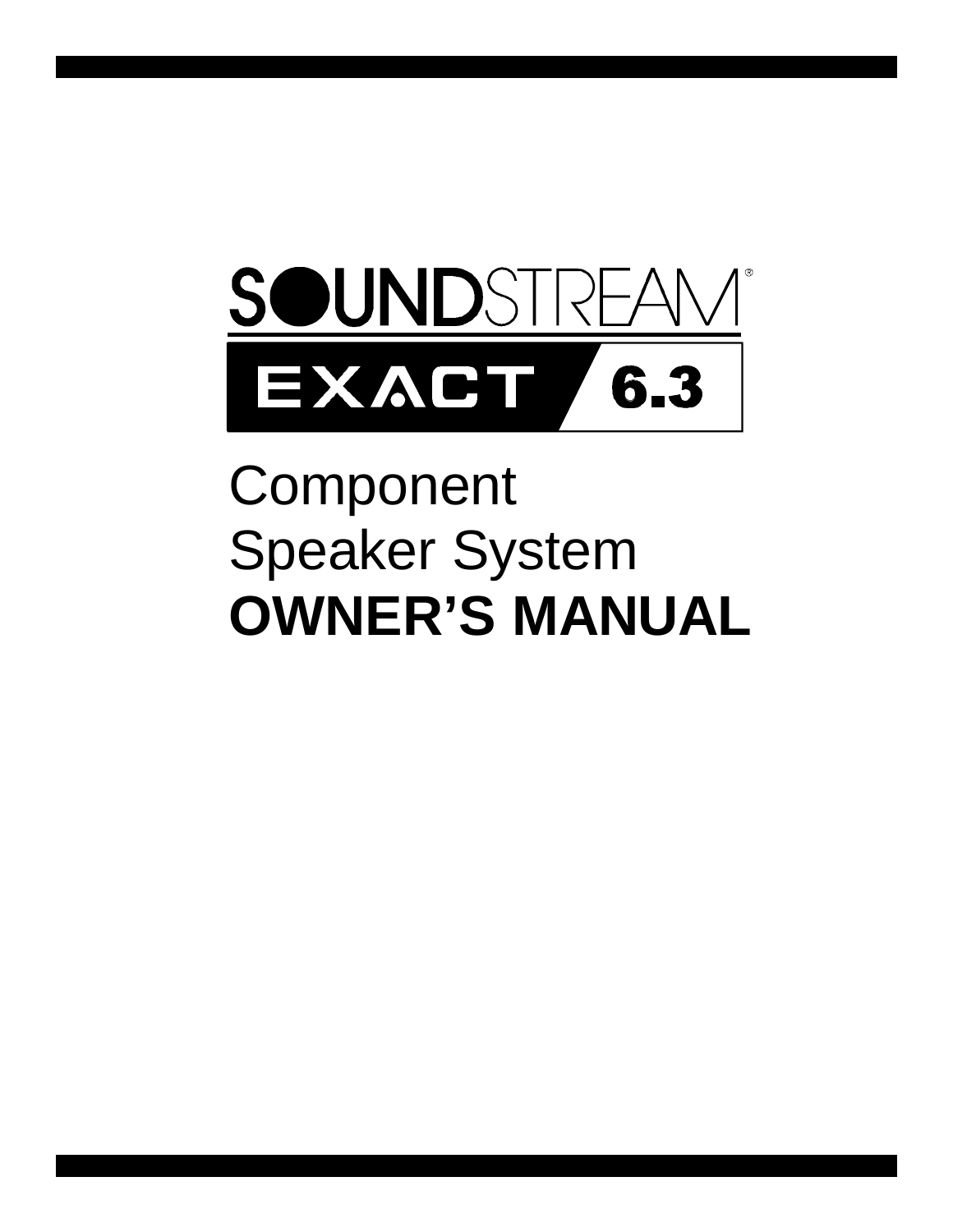

# Component Speaker System **OWNER'S MANUAL**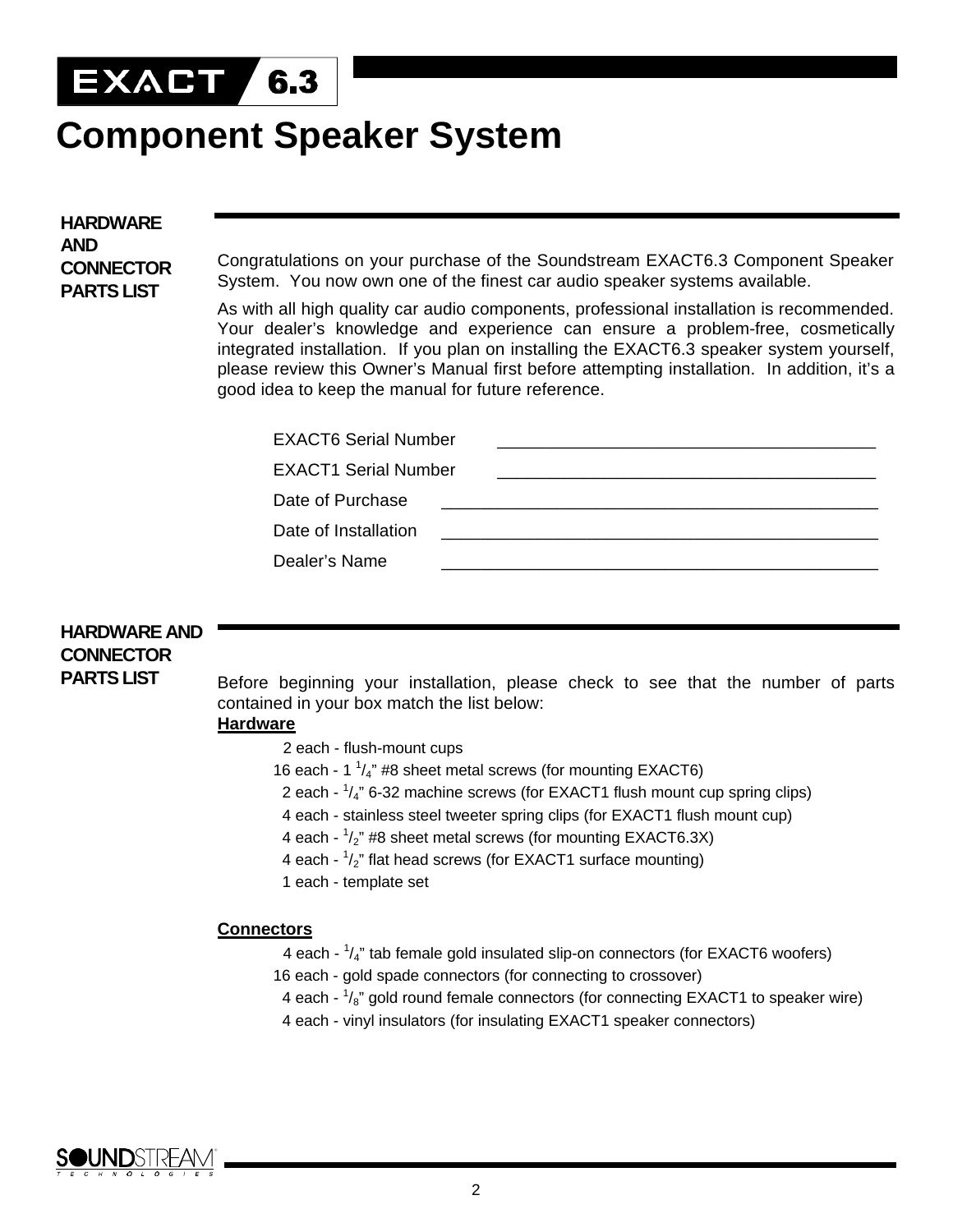

# **Component Speaker System**

**HARDWARE AND CONNECTOR PARTS LIST**

Congratulations on your purchase of the Soundstream EXACT6.3 Component Speaker System. You now own one of the finest car audio speaker systems available.

As with all high quality car audio components, professional installation is recommended. Your dealer's knowledge and experience can ensure a problem-free, cosmetically integrated installation. If you plan on installing the EXACT6.3 speaker system yourself, please review this Owner's Manual first before attempting installation. In addition, it's a good idea to keep the manual for future reference.

| <b>EXACT6 Serial Number</b> |  |
|-----------------------------|--|
| <b>EXACT1 Serial Number</b> |  |
| Date of Purchase            |  |
| Date of Installation        |  |
| Dealer's Name               |  |
|                             |  |

# **HARDWARE AND CONNECTOR PARTS LIST**

Before beginning your installation, please check to see that the number of parts contained in your box match the list below:

# **Hardware**

- 2 each flush-mount cups
- 16 each 1  $\frac{1}{4}$ " #8 sheet metal screws (for mounting EXACT6)
- 2 each  $\frac{1}{4}$ " 6-32 machine screws (for EXACT1 flush mount cup spring clips)
	- 4 each stainless steel tweeter spring clips (for EXACT1 flush mount cup)
- 4 each  $1/2$ " #8 sheet metal screws (for mounting EXACT6.3X)
- 4 each  $\frac{1}{2}$ " flat head screws (for EXACT1 surface mounting)
	- 1 each template set

### **Connectors**

- 4 each  $\frac{1}{4}$ " tab female gold insulated slip-on connectors (for EXACT6 woofers)
	- 16 each gold spade connectors (for connecting to crossover)
- 4 each  $\frac{1}{8}$ " gold round female connectors (for connecting EXACT1 to speaker wire)
	- 4 each vinyl insulators (for insulating EXACT1 speaker connectors)

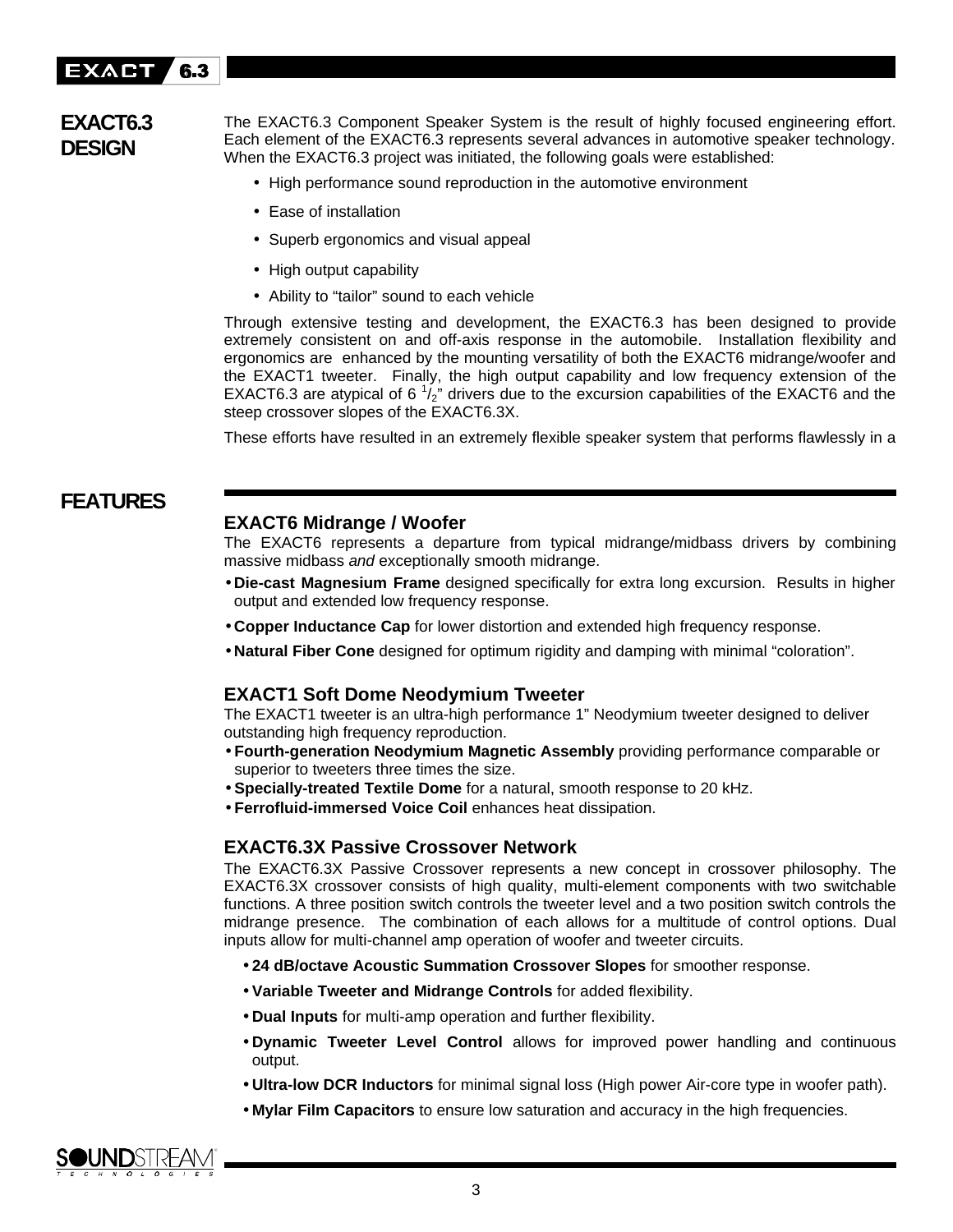

# **EXACT6.3 DESIGN**

The EXACT6.3 Component Speaker System is the result of highly focused engineering effort. Each element of the EXACT6.3 represents several advances in automotive speaker technology. When the EXACT6.3 project was initiated, the following goals were established:

- High performance sound reproduction in the automotive environment
- Ease of installation
- Superb ergonomics and visual appeal
- High output capability
- Ability to "tailor" sound to each vehicle

Through extensive testing and development, the EXACT6.3 has been designed to provide extremely consistent on and off-axis response in the automobile. Installation flexibility and ergonomics are enhanced by the mounting versatility of both the EXACT6 midrange/woofer and the EXACT1 tweeter. Finally, the high output capability and low frequency extension of the EXACT6.3 are atypical of 6  $\frac{1}{2}$ " drivers due to the excursion capabilities of the EXACT6 and the steep crossover slopes of the EXACT6.3X.

These efforts have resulted in an extremely flexible speaker system that performs flawlessly in a

# **FEATURES**

# **EXACT6 Midrange / Woofer**

The EXACT6 represents a departure from typical midrange/midbass drivers by combining massive midbass *and* exceptionally smooth midrange.

- **Die-cast Magnesium Frame** designed specifically for extra long excursion. Results in higher output and extended low frequency response.
- **Copper Inductance Cap** for lower distortion and extended high frequency response.
- **Natural Fiber Cone** designed for optimum rigidity and damping with minimal "coloration".

### **EXACT1 Soft Dome Neodymium Tweeter**

The EXACT1 tweeter is an ultra-high performance 1" Neodymium tweeter designed to deliver outstanding high frequency reproduction.

- **Fourth-generation Neodymium Magnetic Assembly** providing performance comparable or superior to tweeters three times the size.
- **Specially-treated Textile Dome** for a natural, smooth response to 20 kHz.
- **Ferrofluid-immersed Voice Coil** enhances heat dissipation.

### **EXACT6.3X Passive Crossover Network**

The EXACT6.3X Passive Crossover represents a new concept in crossover philosophy. The EXACT6.3X crossover consists of high quality, multi-element components with two switchable functions. A three position switch controls the tweeter level and a two position switch controls the midrange presence. The combination of each allows for a multitude of control options. Dual inputs allow for multi-channel amp operation of woofer and tweeter circuits.

- **24 dB/octave Acoustic Summation Crossover Slopes** for smoother response.
- **Variable Tweeter and Midrange Controls** for added flexibility.
- **Dual Inputs** for multi-amp operation and further flexibility.
- **Dynamic Tweeter Level Control** allows for improved power handling and continuous output.
- **Ultra-low DCR Inductors** for minimal signal loss (High power Air-core type in woofer path).
- **Mylar Film Capacitors** to ensure low saturation and accuracy in the high frequencies.

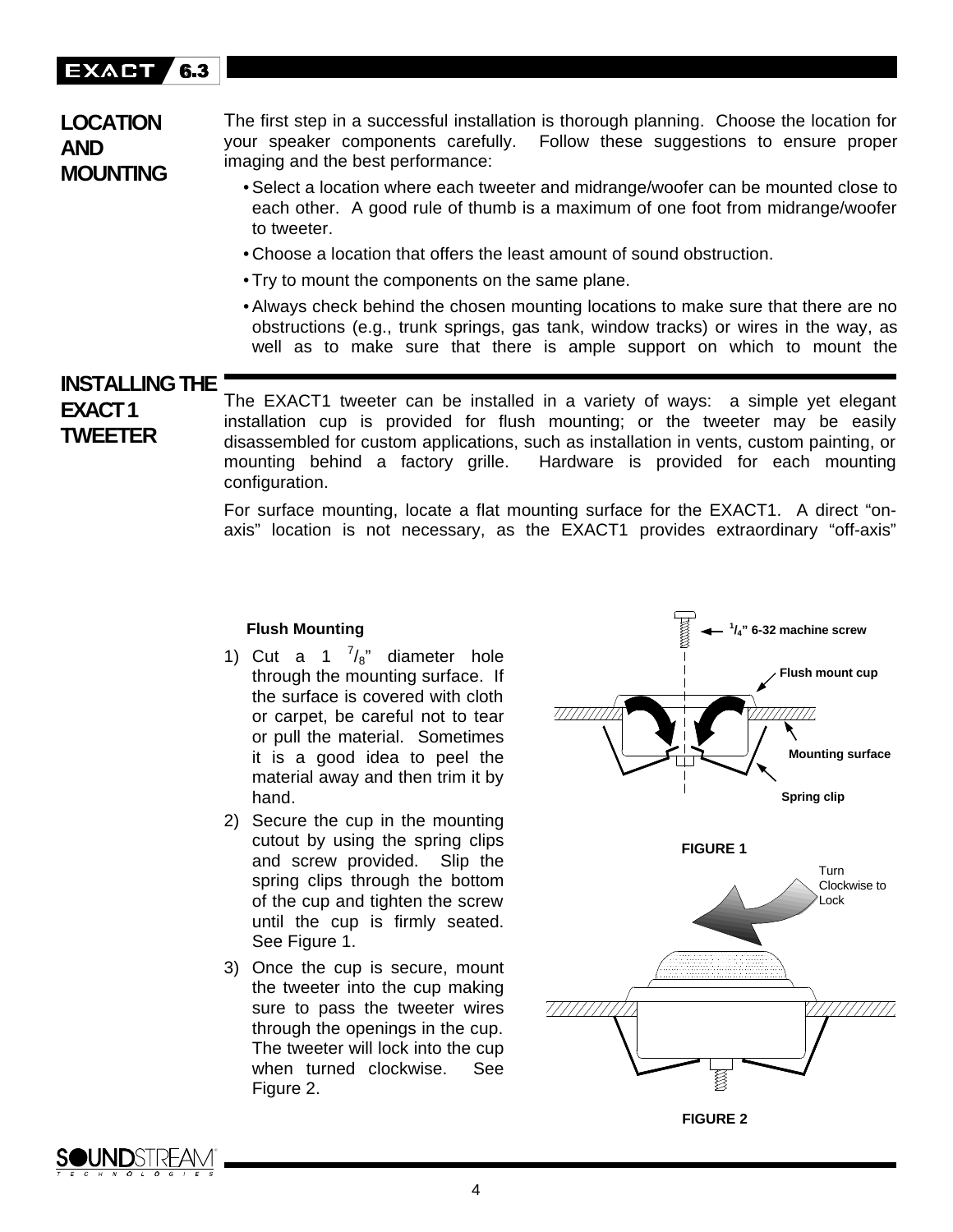#### EXACT 6.3

# **LOCATION AND MOUNTING**

The first step in a successful installation is thorough planning. Choose the location for your speaker components carefully. Follow these suggestions to ensure proper imaging and the best performance:

- Select a location where each tweeter and midrange/woofer can be mounted close to each other. A good rule of thumb is a maximum of one foot from midrange/woofer to tweeter.
- Choose a location that offers the least amount of sound obstruction.
- Try to mount the components on the same plane.
- Always check behind the chosen mounting locations to make sure that there are no obstructions (e.g., trunk springs, gas tank, window tracks) or wires in the way, as well as to make sure that there is ample support on which to mount the

# **INSTALLING THE EXACT1 TWEETER**

The EXACT1 tweeter can be installed in a variety of ways: a simple yet elegant installation cup is provided for flush mounting; or the tweeter may be easily disassembled for custom applications, such as installation in vents, custom painting, or mounting behind a factory grille. Hardware is provided for each mounting configuration.

For surface mounting, locate a flat mounting surface for the EXACT1. A direct "onaxis" location is not necessary, as the EXACT1 provides extraordinary "off-axis"

### **Flush Mounting**

- 1) Cut a 1  $^{7}/_{8}$ " diameter hole through the mounting surface. If the surface is covered with cloth or carpet, be careful not to tear or pull the material. Sometimes it is a good idea to peel the material away and then trim it by hand.
- 2) Secure the cup in the mounting cutout by using the spring clips and screw provided. Slip the spring clips through the bottom of the cup and tighten the screw until the cup is firmly seated. See Figure 1.
- 3) Once the cup is secure, mount the tweeter into the cup making sure to pass the tweeter wires through the openings in the cup. The tweeter will lock into the cup when turned clockwise. See Figure 2.



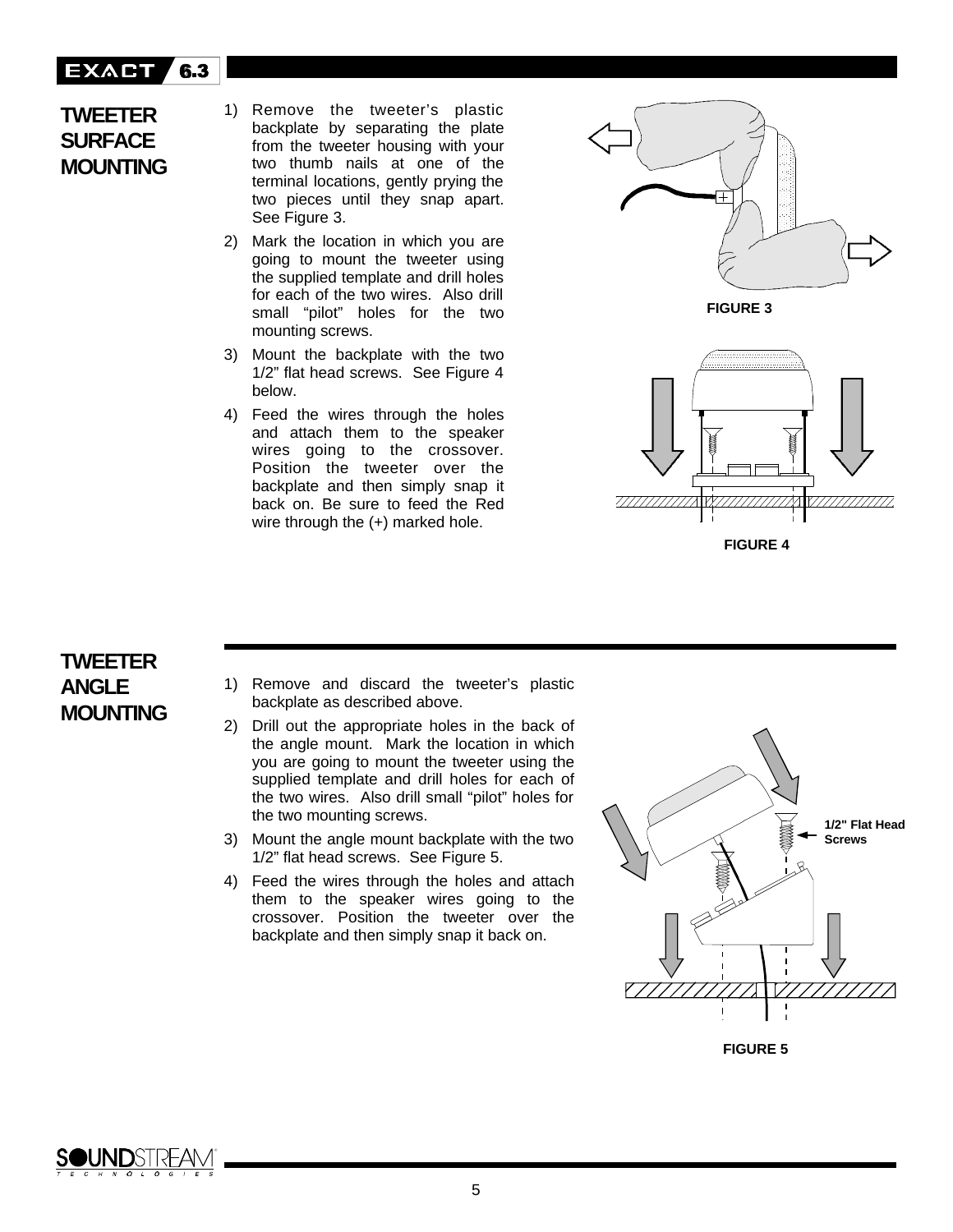#### EXACT **7 6.3**

# **TWEETER SURFACE MOUNTING**

1) Remove the tweeter's plastic backplate by separating the plate from the tweeter housing with your two thumb nails at one of the terminal locations, gently prying the two pieces until they snap apart. See Figure 3.

- 2) Mark the location in which you are going to mount the tweeter using the supplied template and drill holes for each of the two wires. Also drill small "pilot" holes for the two mounting screws.
- 3) Mount the backplate with the two 1/2" flat head screws. See Figure 4 below.
- 4) Feed the wires through the holes and attach them to the speaker wires going to the crossover. Position the tweeter over the backplate and then simply snap it back on. Be sure to feed the Red wire through the (+) marked hole.



**FIGURE 3**



### **FIGURE 4**

# **TWEETER ANGLE MOUNTING**

- 1) Remove and discard the tweeter's plastic backplate as described above.
- 2) Drill out the appropriate holes in the back of the angle mount. Mark the location in which you are going to mount the tweeter using the supplied template and drill holes for each of the two wires. Also drill small "pilot" holes for the two mounting screws.
- 3) Mount the angle mount backplate with the two 1/2" flat head screws. See Figure 5.
- 4) Feed the wires through the holes and attach them to the speaker wires going to the crossover. Position the tweeter over the backplate and then simply snap it back on.





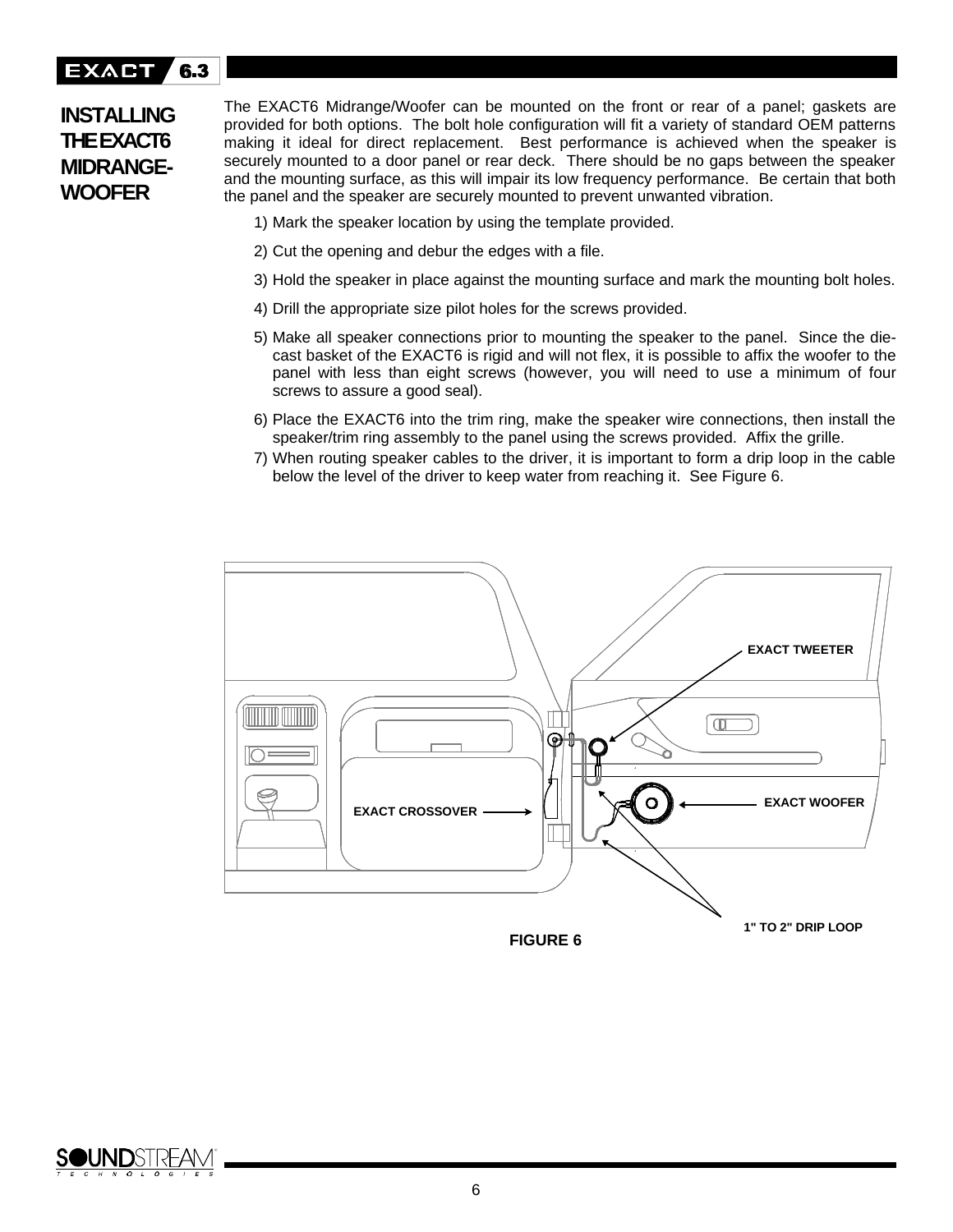#### EXACT **7 6.3**

# **INSTALLING THE EXACT6 MIDRANGE-WOOFER**

The EXACT6 Midrange/Woofer can be mounted on the front or rear of a panel; gaskets are provided for both options. The bolt hole configuration will fit a variety of standard OEM patterns making it ideal for direct replacement. Best performance is achieved when the speaker is securely mounted to a door panel or rear deck. There should be no gaps between the speaker and the mounting surface, as this will impair its low frequency performance. Be certain that both the panel and the speaker are securely mounted to prevent unwanted vibration.

- 1) Mark the speaker location by using the template provided.
- 2) Cut the opening and debur the edges with a file.
- 3) Hold the speaker in place against the mounting surface and mark the mounting bolt holes.
- 4) Drill the appropriate size pilot holes for the screws provided.
- 5) Make all speaker connections prior to mounting the speaker to the panel. Since the diecast basket of the EXACT6 is rigid and will not flex, it is possible to affix the woofer to the panel with less than eight screws (however, you will need to use a minimum of four screws to assure a good seal).
- 6) Place the EXACT6 into the trim ring, make the speaker wire connections, then install the speaker/trim ring assembly to the panel using the screws provided. Affix the grille.
- 7) When routing speaker cables to the driver, it is important to form a drip loop in the cable below the level of the driver to keep water from reaching it. See Figure 6.



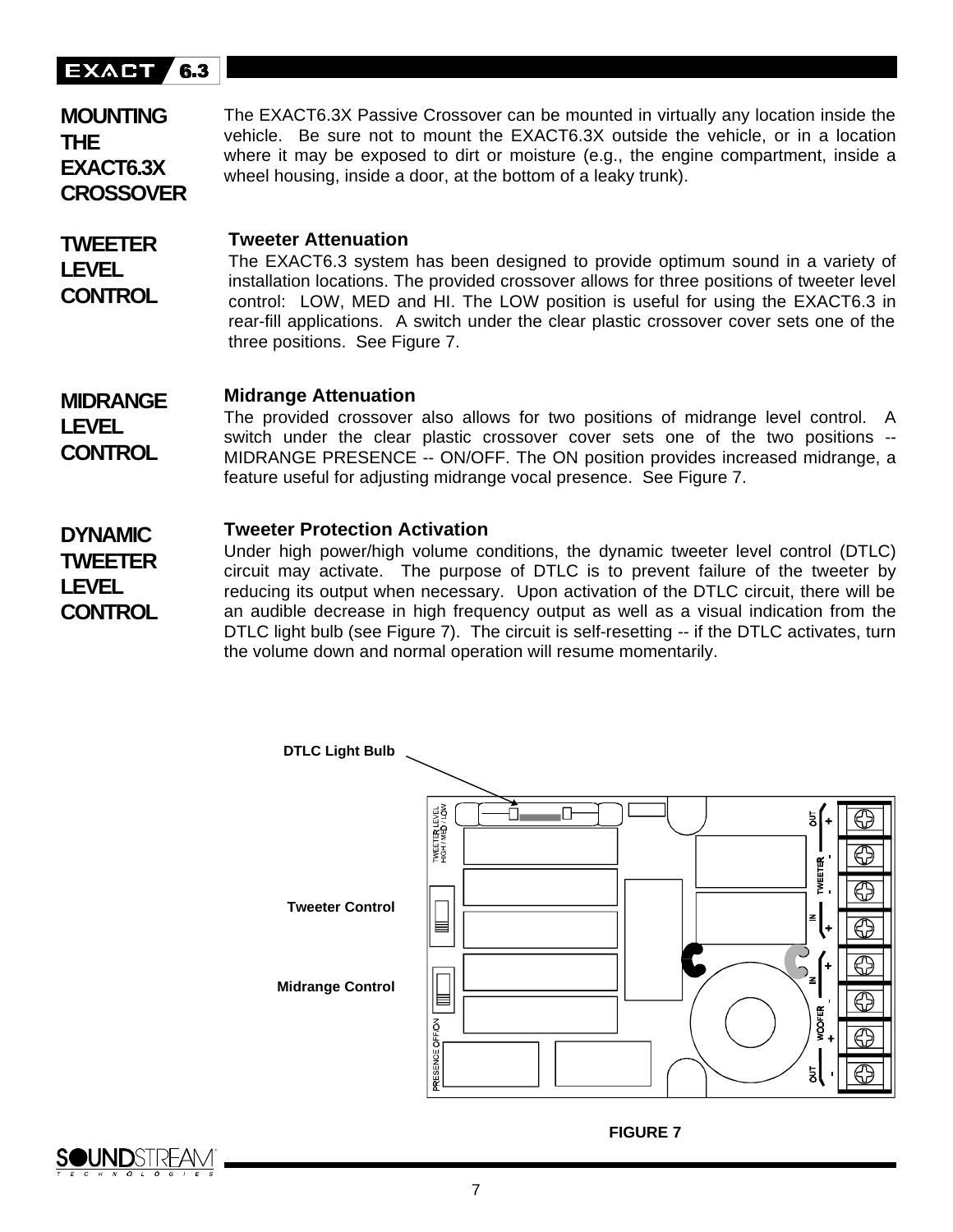#### **EXACT** 6.3

**LEVEL CONTROL**

**TWEETER LEVEL**

**CONTROL**

The EXACT6.3X Passive Crossover can be mounted in virtually any location inside the vehicle. Be sure not to mount the EXACT6.3X outside the vehicle, or in a location where it may be exposed to dirt or moisture (e.g., the engine compartment, inside a wheel housing, inside a door, at the bottom of a leaky trunk). **MOUNTING THE EXACT6.3X CROSSOVER**

#### **TWEETER Tweeter Attenuation**

The EXACT6.3 system has been designed to provide optimum sound in a variety of installation locations. The provided crossover allows for three positions of tweeter level control: LOW, MED and HI. The LOW position is useful for using the EXACT6.3 in rear-fill applications. A switch under the clear plastic crossover cover sets one of the three positions. See Figure 7.

#### **Midrange Attenuation MIDRANGE**

The provided crossover also allows for two positions of midrange level control. A switch under the clear plastic crossover cover sets one of the two positions -- MIDRANGE PRESENCE -- ON/OFF. The ON position provides increased midrange, a feature useful for adjusting midrange vocal presence. See Figure 7. **LEVEL CONTROL**

#### **DYNAMIC Tweeter Protection Activation**

Under high power/high volume conditions, the dynamic tweeter level control (DTLC) circuit may activate. The purpose of DTLC is to prevent failure of the tweeter by reducing its output when necessary. Upon activation of the DTLC circuit, there will be an audible decrease in high frequency output as well as a visual indication from the DTLC light bulb (see Figure 7). The circuit is self-resetting -- if the DTLC activates, turn the volume down and normal operation will resume momentarily.





**FIGURE 7**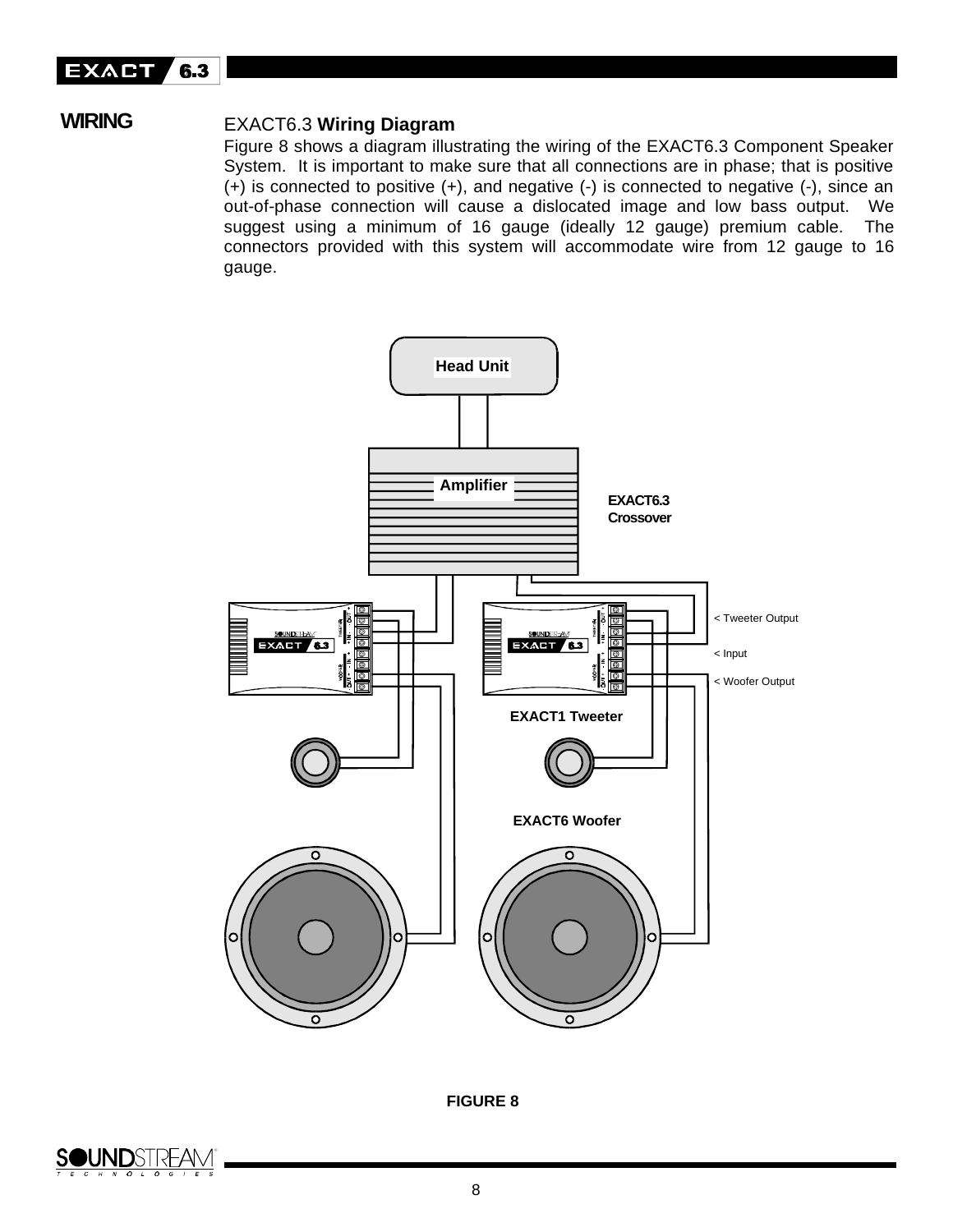

# **WIRING**

# EXACT6.3 **Wiring Diagram**

Figure 8 shows a diagram illustrating the wiring of the EXACT6.3 Component Speaker System. It is important to make sure that all connections are in phase; that is positive (+) is connected to positive (+), and negative (-) is connected to negative (-), since an out-of-phase connection will cause a dislocated image and low bass output. We suggest using a minimum of 16 gauge (ideally 12 gauge) premium cable. The connectors provided with this system will accommodate wire from 12 gauge to 16 gauge.



**FIGURE 8**

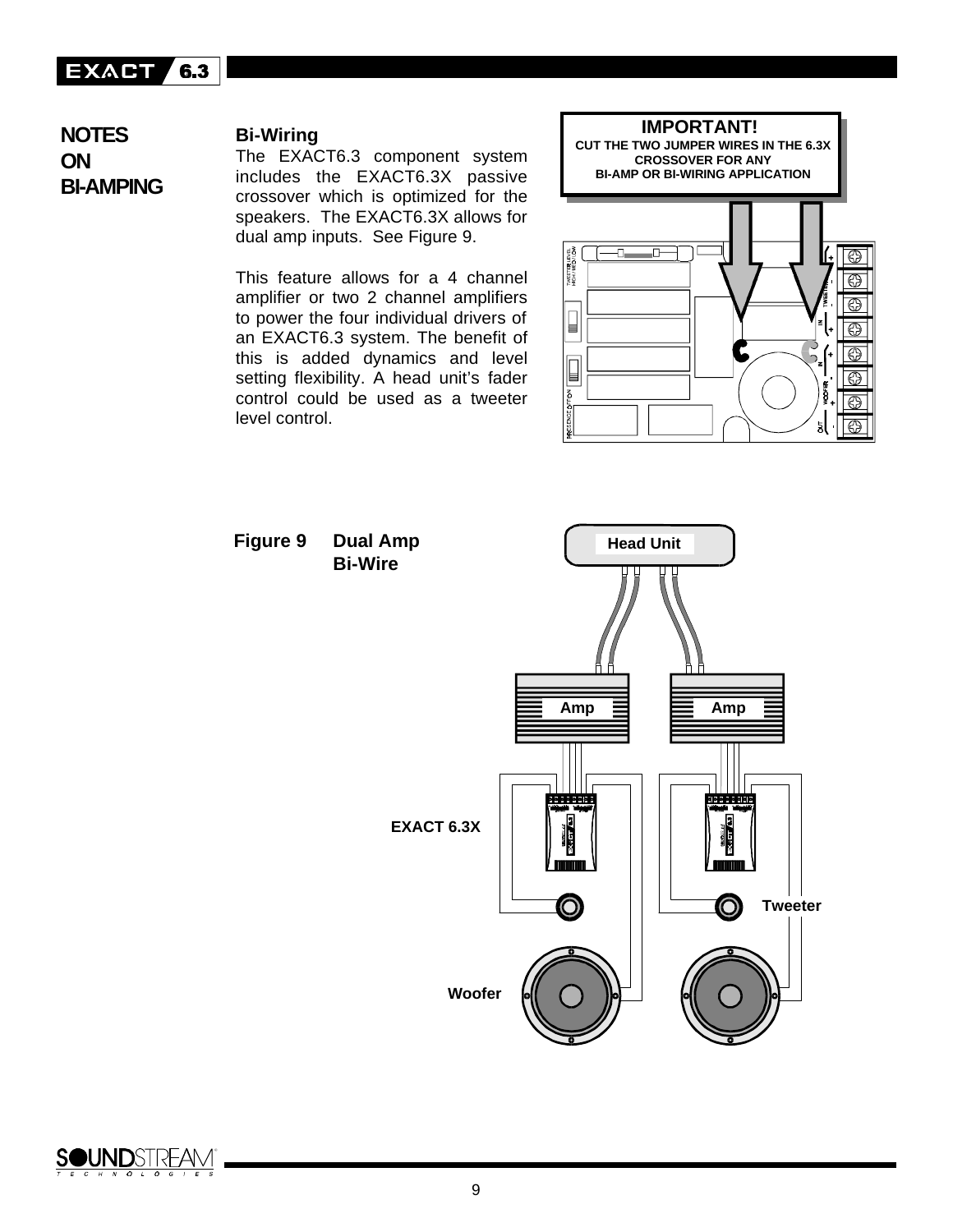# **EXACT 6.3**

**NOTES ON BI-AMPING**

### **Bi-Wiring**

The EXACT6.3 component system includes the EXACT6.3X passive crossover which is optimized for the speakers. The EXACT6.3X allows for dual amp inputs. See Figure 9.

This feature allows for a 4 channel amplifier or two 2 channel amplifiers to power the four individual drivers of an EXACT6.3 system. The benefit of this is added dynamics and level setting flexibility. A head unit's fader control could be used as a tweeter level control.





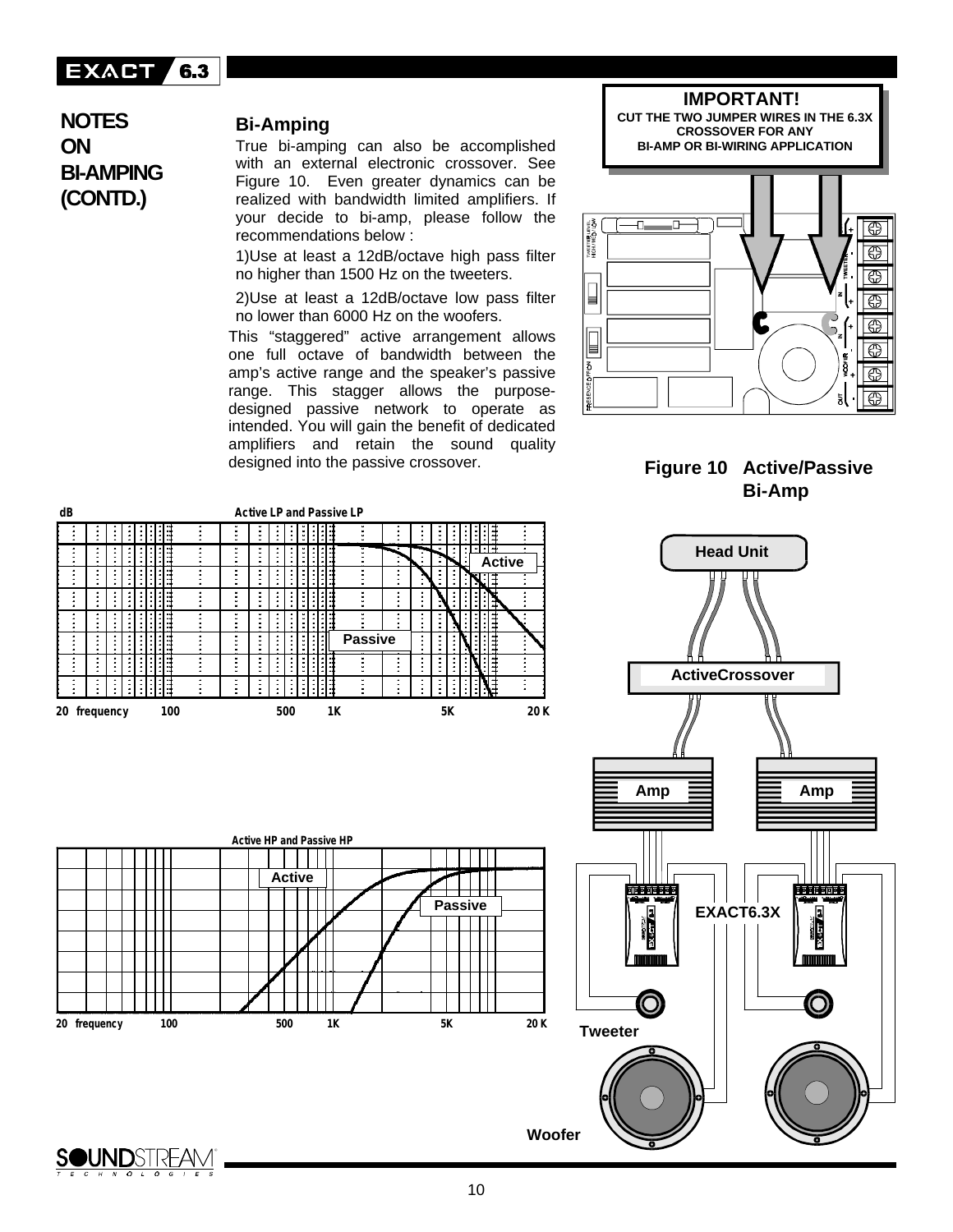

**NOTES ON BI-AMPING (CONTD.)**

### **Bi-Amping**

True bi-amping can also be accomplished with an external electronic crossover. See Figure 10. Even greater dynamics can be realized with bandwidth limited amplifiers. If your decide to bi-amp, please follow the recommendations below :

1)Use at least a 12dB/octave high pass filter no higher than 1500 Hz on the tweeters.

2)Use at least a 12dB/octave low pass filter no lower than 6000 Hz on the woofers.

This "staggered" active arrangement allows one full octave of bandwidth between the amp's active range and the speaker's passive range. This stagger allows the purposedesigned passive network to operate as intended. You will gain the benefit of dedicated amplifiers and retain the sound quality designed into the passive crossover.



**IMPORTANT!**



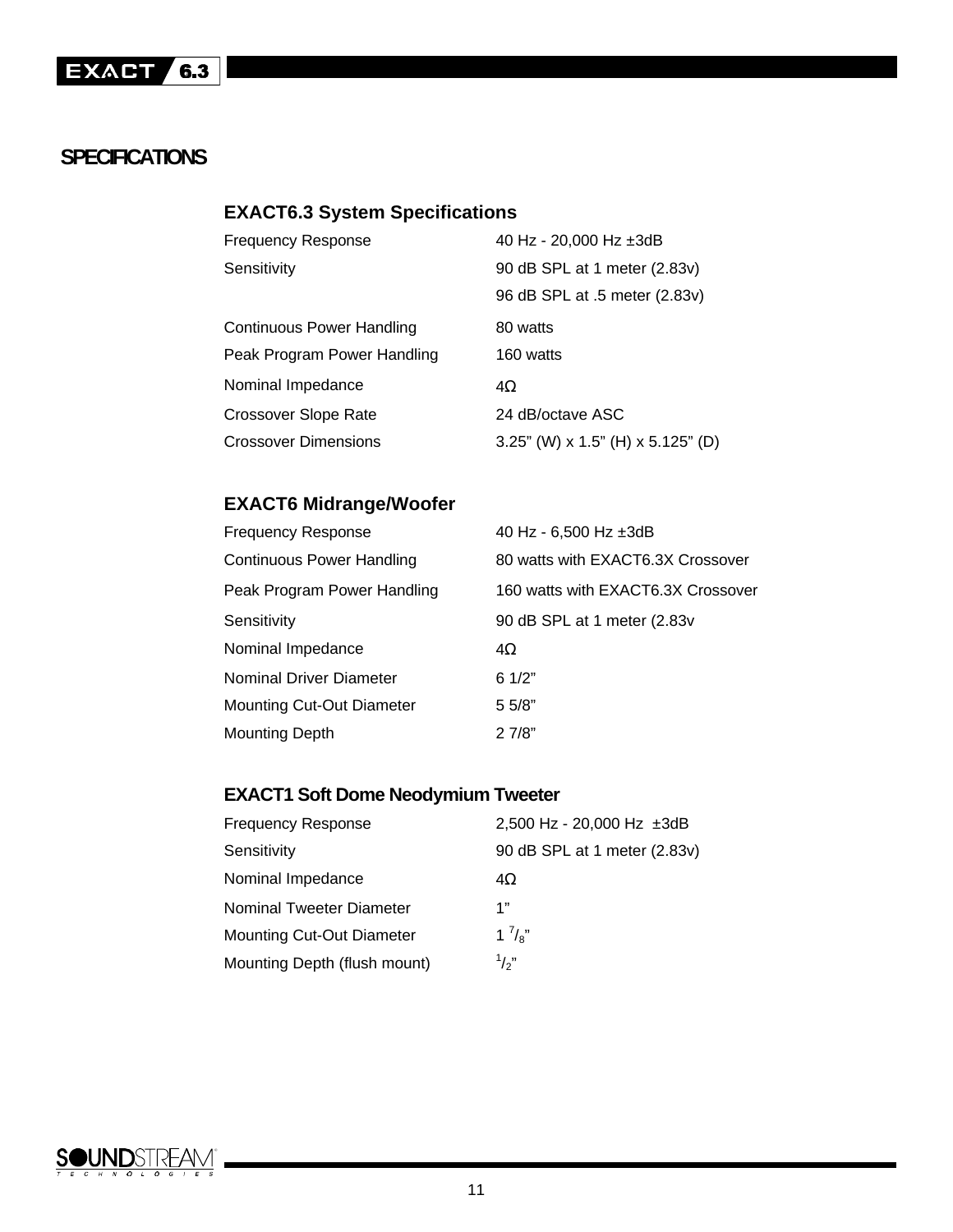# **SPECIFICATIONS**

# **EXACT6.3 System Specifications**

| <b>Frequency Response</b>        | 40 Hz - 20,000 Hz ±3dB                     |
|----------------------------------|--------------------------------------------|
| Sensitivity                      | 90 dB SPL at 1 meter (2.83v)               |
|                                  | 96 dB SPL at .5 meter (2.83v)              |
| <b>Continuous Power Handling</b> | 80 watts                                   |
| Peak Program Power Handling      | 160 watts                                  |
| Nominal Impedance                | 4Ω                                         |
| <b>Crossover Slope Rate</b>      | 24 dB/octave ASC                           |
| <b>Crossover Dimensions</b>      | $3.25$ " (W) x $1.5$ " (H) x $5.125$ " (D) |

# **EXACT6 Midrange/Woofer**

| <b>Frequency Response</b>        | 40 Hz - $6,500$ Hz $\pm 3$ dB      |
|----------------------------------|------------------------------------|
| Continuous Power Handling        | 80 watts with EXACT6.3X Crossover  |
| Peak Program Power Handling      | 160 watts with EXACT6.3X Crossover |
| Sensitivity                      | 90 dB SPL at 1 meter (2.83v        |
| Nominal Impedance                | 4Ω                                 |
| Nominal Driver Diameter          | 61/2"                              |
| <b>Mounting Cut-Out Diameter</b> | 5 5/8"                             |
| <b>Mounting Depth</b>            | 27/8"                              |

# **EXACT1 Soft Dome Neodymium Tweeter**

| <b>Frequency Response</b>        | 2,500 Hz - 20,000 Hz ±3dB    |
|----------------------------------|------------------------------|
| Sensitivity                      | 90 dB SPL at 1 meter (2.83v) |
| Nominal Impedance                | 4Ω                           |
| <b>Nominal Tweeter Diameter</b>  | 1"                           |
| <b>Mounting Cut-Out Diameter</b> | $1^7/s''$                    |
| Mounting Depth (flush mount)     | $\frac{1}{2}$                |

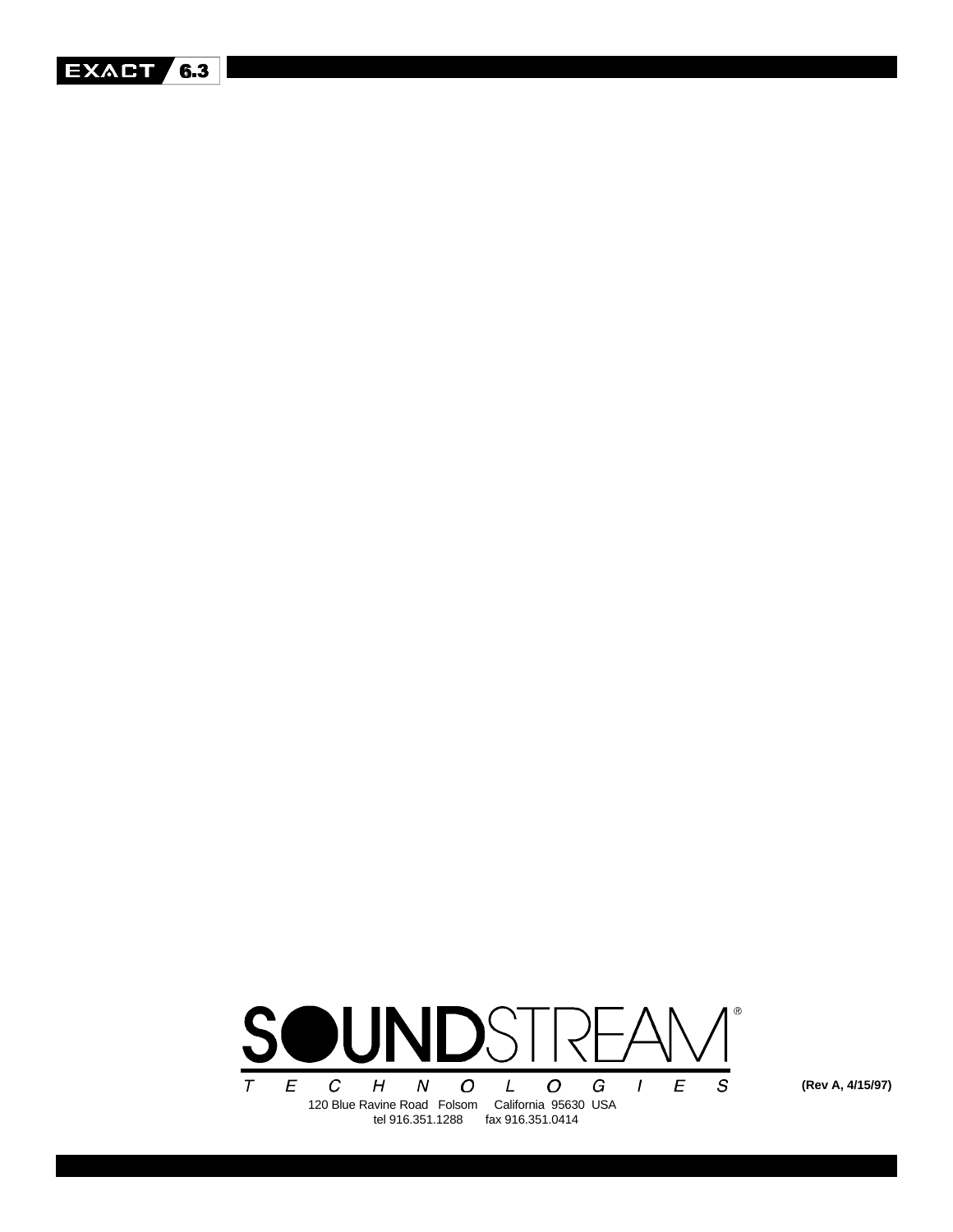



**(Rev A, 4/15/97)**